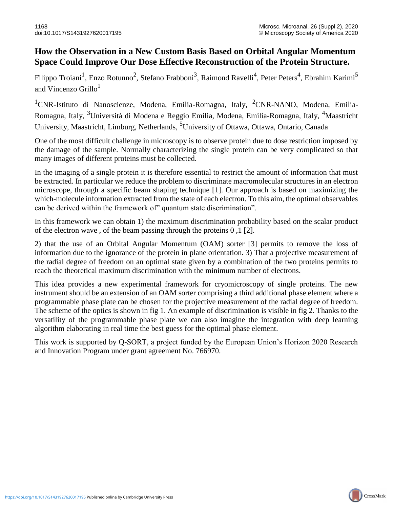## **How the Observation in a New Custom Basis Based on Orbital Angular Momentum Space Could Improve Our Dose Effective Reconstruction of the Protein Structure.**

Filippo Troiani<sup>1</sup>, Enzo Rotunno<sup>2</sup>, Stefano Frabboni<sup>3</sup>, Raimond Ravelli<sup>4</sup>, Peter Peters<sup>4</sup>, Ebrahim Karimi<sup>5</sup> and Vincenzo  $GriIlo<sup>1</sup>$ 

<sup>1</sup>CNR-Istituto di Nanoscienze, Modena, Emilia-Romagna, Italy, <sup>2</sup>CNR-NANO, Modena, Emilia-Romagna, Italy, 3Università di Modena e Reggio Emilia, Modena, Emilia-Romagna, Italy, 4Maastricht University, Maastricht, Limburg, Netherlands, <sup>5</sup>University of Ottawa, Ottawa, Ontario, Canada

One of the most difficult challenge in microscopy is to observe protein due to dose restriction imposed by the damage of the sample. Normally characterizing the single protein can be very complicated so that many images of different proteins must be collected.

In the imaging of a single protein it is therefore essential to restrict the amount of information that must be extracted. In particular we reduce the problem to discriminate macromolecular structures in an electron microscope, through a specific beam shaping technique [1]. Our approach is based on maximizing the which-molecule information extracted from the state of each electron. To this aim, the optimal observables can be derived within the framework of" quantum state discrimination".

In this framework we can obtain 1) the maximum discrimination probability based on the scalar product of the electron wave , of the beam passing through the proteins 0 ,1 [2].

2) that the use of an Orbital Angular Momentum (OAM) sorter [3] permits to remove the loss of information due to the ignorance of the protein in plane orientation. 3) That a projective measurement of the radial degree of freedom on an optimal state given by a combination of the two proteins permits to reach the theoretical maximum discrimination with the minimum number of electrons.

This idea provides a new experimental framework for cryomicroscopy of single proteins. The new instrument should be an extension of an OAM sorter comprising a third additional phase element where a programmable phase plate can be chosen for the projective measurement of the radial degree of freedom. The scheme of the optics is shown in fig 1. An example of discrimination is visible in fig 2. Thanks to the versatility of the programmable phase plate we can also imagine the integration with deep learning algorithm elaborating in real time the best guess for the optimal phase element.

This work is supported by Q-SORT, a project funded by the European Union's Horizon 2020 Research and Innovation Program under grant agreement No. 766970.